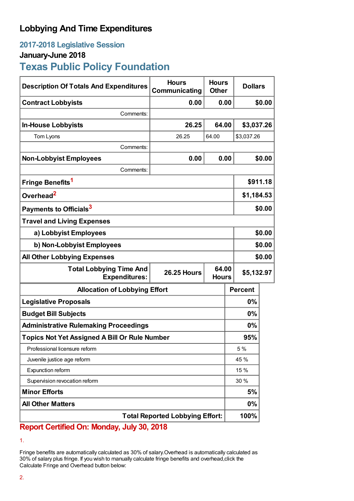# **Lobbying And Time Expenditures**

## **2017-2018 Legislative Session**

### **January-June 2018**

# **Texas Public Policy Foundation**

| <b>Description Of Totals And Expenditures</b>          | <b>Hours</b><br>Communicating               | <b>Hours</b><br><b>Other</b> | <b>Dollars</b> |            |  |
|--------------------------------------------------------|---------------------------------------------|------------------------------|----------------|------------|--|
| <b>Contract Lobbyists</b>                              | 0.00                                        | 0.00                         |                | \$0.00     |  |
| Comments:                                              |                                             |                              |                |            |  |
| <b>In-House Lobbyists</b>                              | 26.25                                       | 64.00                        | \$3,037.26     |            |  |
| Tom Lyons                                              | 26.25                                       | 64.00                        | \$3,037.26     |            |  |
| Comments:                                              |                                             |                              |                |            |  |
| <b>Non-Lobbyist Employees</b>                          | 0.00                                        | 0.00                         |                | \$0.00     |  |
| Comments:                                              |                                             |                              |                |            |  |
| Fringe Benefits <sup>1</sup>                           |                                             |                              | \$911.18       |            |  |
| Overhead <sup>2</sup>                                  |                                             |                              | \$1,184.53     |            |  |
| Payments to Officials <sup>3</sup>                     |                                             |                              |                | \$0.00     |  |
| <b>Travel and Living Expenses</b>                      |                                             |                              |                |            |  |
| a) Lobbyist Employees                                  |                                             |                              |                | \$0.00     |  |
| b) Non-Lobbyist Employees                              |                                             |                              |                | \$0.00     |  |
| <b>All Other Lobbying Expenses</b>                     |                                             |                              |                | \$0.00     |  |
| <b>Total Lobbying Time And</b><br><b>Expenditures:</b> | 64.00<br><b>26.25 Hours</b><br><b>Hours</b> |                              |                | \$5,132.97 |  |
| <b>Allocation of Lobbying Effort</b>                   |                                             |                              | <b>Percent</b> |            |  |
| <b>Legislative Proposals</b>                           |                                             |                              | $0\%$          |            |  |
| <b>Budget Bill Subjects</b>                            |                                             |                              | 0%             |            |  |
| <b>Administrative Rulemaking Proceedings</b>           |                                             |                              | $0\%$          |            |  |
| <b>Topics Not Yet Assigned A Bill Or Rule Number</b>   |                                             |                              | 95%            |            |  |
| Professional licensure reform                          |                                             |                              | 5 %            |            |  |
| Juvenile justice age reform                            |                                             |                              | 45 %           |            |  |
| Expunction reform                                      |                                             |                              | 15 %           |            |  |
| Supervision revocation reform                          |                                             |                              | 30%            |            |  |
| <b>Minor Efforts</b>                                   |                                             |                              | 5%             |            |  |
| <b>All Other Matters</b>                               |                                             |                              | $0\%$          |            |  |
| <b>Total Reported Lobbying Effort:</b>                 |                                             |                              | 100%           |            |  |

### **Report Certified On: Monday, July 30, 2018**

Fringe benefits are automatically calculated as 30% of salary.Overhead is automatically calculated as 30% of salary plus fringe. If you wish to manually calculate fringe benefits and overhead,click the Calculate Fringe and Overhead button below:

<sup>1.</sup>